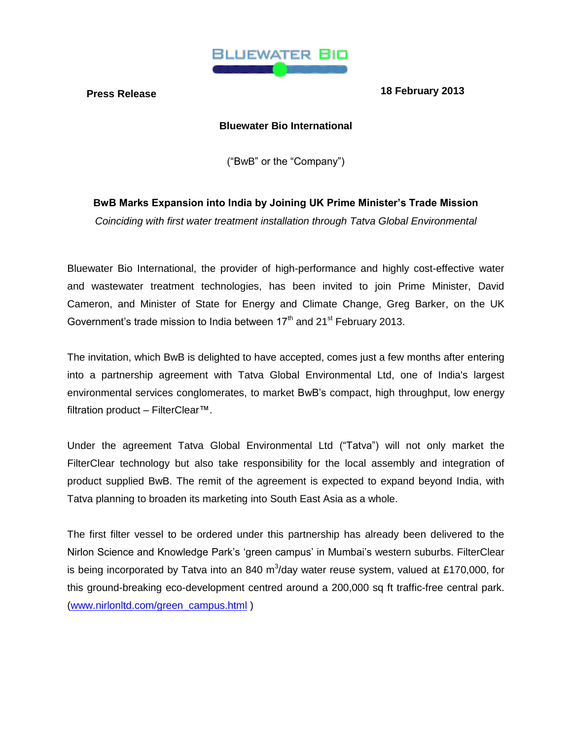

**Press Release 18 February 2013**

## **Bluewater Bio International**

("BwB" or the "Company")

# **BwB Marks Expansion into India by Joining UK Prime Minister's Trade Mission**

*Coinciding with first water treatment installation through Tatva Global Environmental* 

Bluewater Bio International, the provider of high-performance and highly cost-effective water and wastewater treatment technologies, has been invited to join Prime Minister, David Cameron, and Minister of State for Energy and Climate Change, Greg Barker, on the UK Government's trade mission to India between  $17<sup>th</sup>$  and  $21<sup>st</sup>$  February 2013.

The invitation, which BwB is delighted to have accepted, comes just a few months after entering into a partnership agreement with Tatva Global Environmental Ltd, one of India's largest environmental services conglomerates, to market BwB's compact, high throughput, low energy filtration product – FilterClear™.

Under the agreement Tatva Global Environmental Ltd ("Tatva") will not only market the FilterClear technology but also take responsibility for the local assembly and integration of product supplied BwB. The remit of the agreement is expected to expand beyond India, with Tatva planning to broaden its marketing into South East Asia as a whole.

The first filter vessel to be ordered under this partnership has already been delivered to the Nirlon Science and Knowledge Park's 'green campus' in Mumbai's western suburbs. FilterClear is being incorporated by Tatva into an 840 m<sup>3</sup>/day water reuse system, valued at £170,000, for this ground-breaking eco-development centred around a 200,000 sq ft traffic-free central park. [\(www.nirlonltd.com/green\\_campus.html](http://www.nirlonltd.com/green_campus.html) )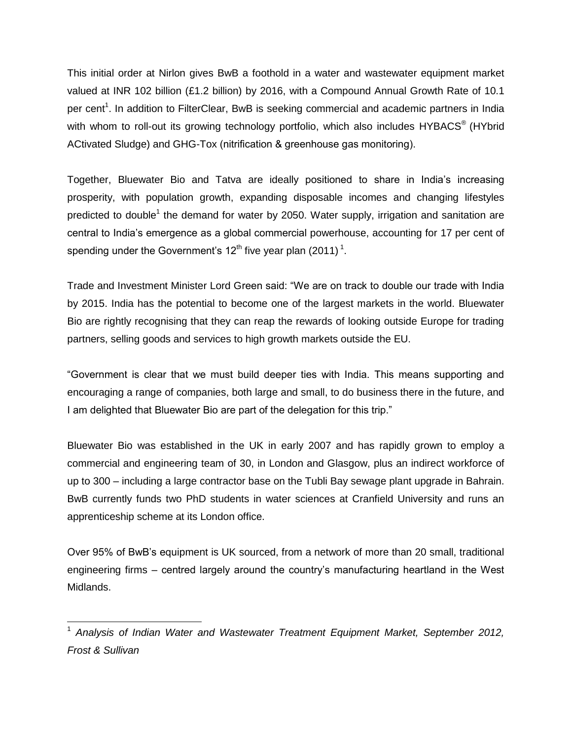This initial order at Nirlon gives BwB a foothold in a water and wastewater equipment market valued at INR 102 billion (£1.2 billion) by 2016, with a Compound Annual Growth Rate of 10.1 per cent<sup>1</sup>. In addition to FilterClear, BwB is seeking commercial and academic partners in India with whom to roll-out its growing technology portfolio, which also includes HYBACS<sup>®</sup> (HYbrid ACtivated Sludge) and GHG-Tox (nitrification & greenhouse gas monitoring).

Together, Bluewater Bio and Tatva are ideally positioned to share in India's increasing prosperity, with population growth, expanding disposable incomes and changing lifestyles predicted to double<sup>1</sup> the demand for water by 2050. Water supply, irrigation and sanitation are central to India's emergence as a global commercial powerhouse, accounting for 17 per cent of spending under the Government's 12<sup>th</sup> five year plan (2011)<sup>1</sup>.

Trade and Investment Minister Lord Green said: "We are on track to double our trade with India by 2015. India has the potential to become one of the largest markets in the world. Bluewater Bio are rightly recognising that they can reap the rewards of looking outside Europe for trading partners, selling goods and services to high growth markets outside the EU.

"Government is clear that we must build deeper ties with India. This means supporting and encouraging a range of companies, both large and small, to do business there in the future, and I am delighted that Bluewater Bio are part of the delegation for this trip."

Bluewater Bio was established in the UK in early 2007 and has rapidly grown to employ a commercial and engineering team of 30, in London and Glasgow, plus an indirect workforce of up to 300 – including a large contractor base on the Tubli Bay sewage plant upgrade in Bahrain. BwB currently funds two PhD students in water sciences at Cranfield University and runs an apprenticeship scheme at its London office.

Over 95% of BwB's equipment is UK sourced, from a network of more than 20 small, traditional engineering firms – centred largely around the country's manufacturing heartland in the West Midlands.

<sup>1</sup> *Analysis of Indian Water and Wastewater Treatment Equipment Market, September 2012, Frost & Sullivan*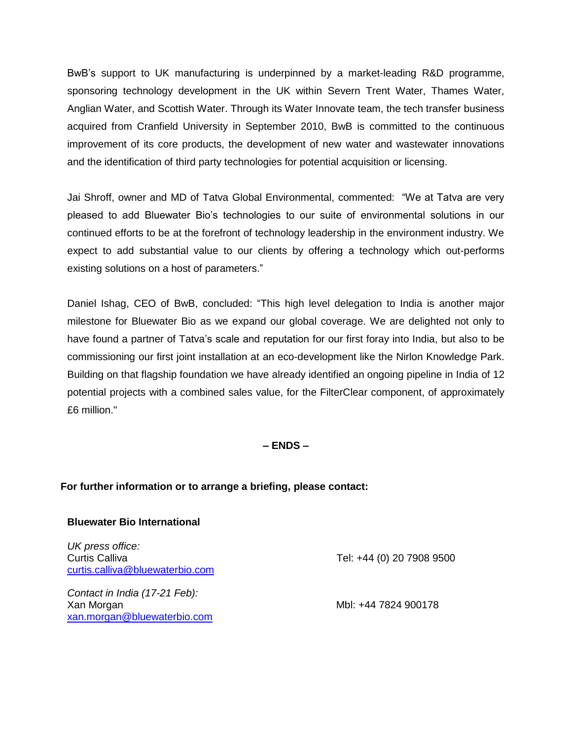BwB's support to UK manufacturing is underpinned by a market-leading R&D programme, sponsoring technology development in the UK within Severn Trent Water, Thames Water, Anglian Water, and Scottish Water. Through its Water Innovate team, the tech transfer business acquired from Cranfield University in September 2010, BwB is committed to the continuous improvement of its core products, the development of new water and wastewater innovations and the identification of third party technologies for potential acquisition or licensing.

Jai Shroff, owner and MD of Tatva Global Environmental, commented: "We at Tatva are very pleased to add Bluewater Bio's technologies to our suite of environmental solutions in our continued efforts to be at the forefront of technology leadership in the environment industry. We expect to add substantial value to our clients by offering a technology which out-performs existing solutions on a host of parameters."

Daniel Ishag, CEO of BwB, concluded: "This high level delegation to India is another major milestone for Bluewater Bio as we expand our global coverage. We are delighted not only to have found a partner of Tatva's scale and reputation for our first foray into India, but also to be commissioning our first joint installation at an eco-development like the Nirlon Knowledge Park. Building on that flagship foundation we have already identified an ongoing pipeline in India of 12 potential projects with a combined sales value, for the FilterClear component, of approximately £6 million."

### **– ENDS –**

### **For further information or to arrange a briefing, please contact:**

### **Bluewater Bio International**

*UK press office:* Curtis Calliva Tel: +44 (0) 20 7908 9500 [curtis.calliva@bluewaterbio.com](mailto:curtis.calliva@bluewaterbio.com)

*Contact in India (17-21 Feb):*  Xan MorganMbl: +44 7824 900178 [xan.morgan@bluewaterbio.com](mailto:xan.morgan@bluewaterbio.com)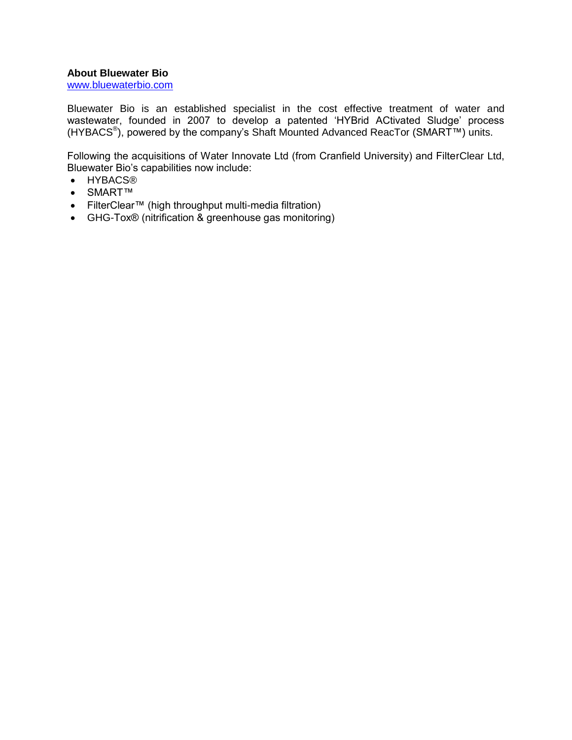#### **About Bluewater Bio**

[www.bluewaterbio.com](http://www.bluewaterbio.com/)

Bluewater Bio is an established specialist in the cost effective treatment of water and wastewater, founded in 2007 to develop a patented 'HYBrid ACtivated Sludge' process (HYBACS<sup>®</sup>), powered by the company's Shaft Mounted Advanced ReacTor (SMART™) units.

Following the acquisitions of Water Innovate Ltd (from Cranfield University) and FilterClear Ltd, Bluewater Bio's capabilities now include:

- HYBACS®
- SMART™
- FilterClear™ (high throughput multi-media filtration)
- GHG-Tox® (nitrification & greenhouse gas monitoring)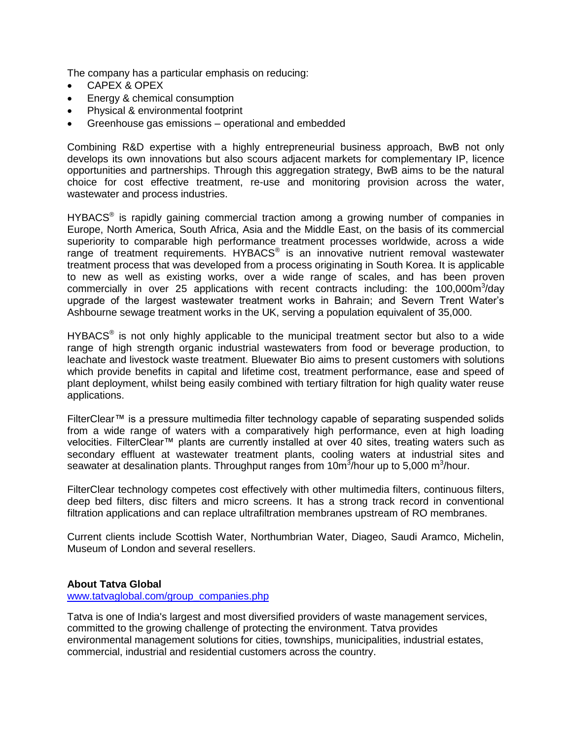The company has a particular emphasis on reducing:

- CAPEX & OPEX
- Energy & chemical consumption
- Physical & environmental footprint
- Greenhouse gas emissions operational and embedded

Combining R&D expertise with a highly entrepreneurial business approach, BwB not only develops its own innovations but also scours adjacent markets for complementary IP, licence opportunities and partnerships. Through this aggregation strategy, BwB aims to be the natural choice for cost effective treatment, re-use and monitoring provision across the water, wastewater and process industries.

HYBACS<sup>®</sup> is rapidly gaining commercial traction among a growing number of companies in Europe, North America, South Africa, Asia and the Middle East, on the basis of its commercial superiority to comparable high performance treatment processes worldwide, across a wide range of treatment requirements. HYBACS<sup>®</sup> is an innovative nutrient removal wastewater treatment process that was developed from a process originating in South Korea. It is applicable to new as well as existing works, over a wide range of scales, and has been proven commercially in over 25 applications with recent contracts including: the 100,000 $\mathrm{m}^3$ /day upgrade of the largest wastewater treatment works in Bahrain; and Severn Trent Water's Ashbourne sewage treatment works in the UK, serving a population equivalent of 35,000.

HYBACS $^{\circ}$  is not only highly applicable to the municipal treatment sector but also to a wide range of high strength organic industrial wastewaters from food or beverage production, to leachate and livestock waste treatment. Bluewater Bio aims to present customers with solutions which provide benefits in capital and lifetime cost, treatment performance, ease and speed of plant deployment, whilst being easily combined with tertiary filtration for high quality water reuse applications.

FilterClear™ is a pressure multimedia filter technology capable of separating suspended solids from a wide range of waters with a comparatively high performance, even at high loading velocities. FilterClear™ plants are currently installed at over 40 sites, treating waters such as secondary effluent at wastewater treatment plants, cooling waters at industrial sites and seawater at desalination plants. Throughput ranges from 10m<sup>3</sup>/hour up to 5,000 m<sup>3</sup>/hour.

FilterClear technology competes cost effectively with other multimedia filters, continuous filters, deep bed filters, disc filters and micro screens. It has a strong track record in conventional filtration applications and can replace ultrafiltration membranes upstream of RO membranes.

Current clients include Scottish Water, Northumbrian Water, Diageo, Saudi Aramco, Michelin, Museum of London and several resellers.

#### **About Tatva Global**

[www.tatvaglobal.com/group\\_companies.php](http://www.tatvaglobal.com/group_companies.php)

Tatva is one of India's largest and most diversified providers of waste management services, committed to the growing challenge of protecting the environment. Tatva provides environmental management solutions for cities, townships, municipalities, industrial estates, commercial, industrial and residential customers across the country.